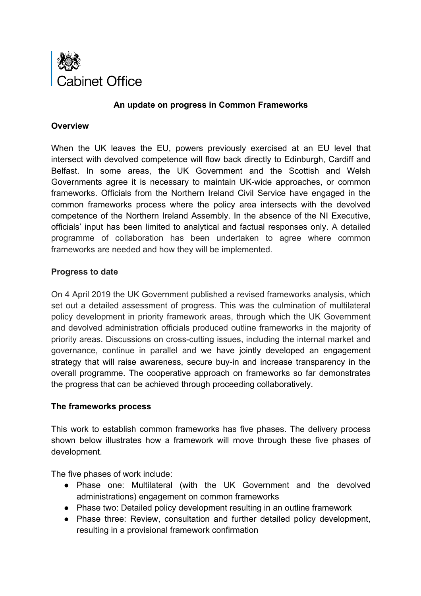

## **An update on progress in Common Frameworks**

### **Overview**

When the UK leaves the EU, powers previously exercised at an EU level that intersect with devolved competence will flow back directly to Edinburgh, Cardiff and Belfast. In some areas, the UK Government and the Scottish and Welsh Governments agree it is necessary to maintain UK-wide approaches, or common frameworks. Officials from the Northern Ireland Civil Service have engaged in the common frameworks process where the policy area intersects with the devolved competence of the Northern Ireland Assembly. In the absence of the NI Executive, officials' input has been limited to analytical and factual responses only. A detailed programme of collaboration has been undertaken to agree where common frameworks are needed and how they will be implemented.

## **Progress to date**

On 4 April 2019 the UK Government published a revised frameworks analysis, which set out a detailed assessment of progress. This was the culmination of multilateral policy development in priority framework areas, through which the UK Government and devolved administration officials produced outline frameworks in the majority of priority areas. Discussions on cross-cutting issues, including the internal market and governance, continue in parallel and we have jointly developed an engagement strategy that will raise awareness, secure buy-in and increase transparency in the overall programme. The cooperative approach on frameworks so far demonstrates the progress that can be achieved through proceeding collaboratively.

## **The frameworks process**

This work to establish common frameworks has five phases. The delivery process shown below illustrates how a framework will move through these five phases of development.

The five phases of work include:

- Phase one: Multilateral (with the UK Government and the devolved administrations) engagement on common frameworks
- Phase two: Detailed policy development resulting in an outline framework
- Phase three: Review, consultation and further detailed policy development, resulting in a provisional framework confirmation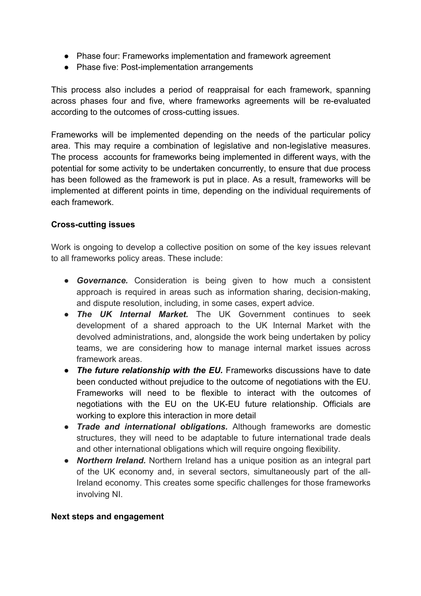- Phase four: Frameworks implementation and framework agreement
- Phase five: Post-implementation arrangements

This process also includes a period of reappraisal for each framework, spanning across phases four and five, where frameworks agreements will be re-evaluated according to the outcomes of cross-cutting issues.

Frameworks will be implemented depending on the needs of the particular policy area. This may require a combination of legislative and non-legislative measures. The process accounts for frameworks being implemented in different ways, with the potential for some activity to be undertaken concurrently, to ensure that due process has been followed as the framework is put in place. As a result, frameworks will be implemented at different points in time, depending on the individual requirements of each framework.

# **Cross-cutting issues**

Work is ongoing to develop a collective position on some of the key issues relevant to all frameworks policy areas. These include:

- **Governance.** Consideration is being given to how much a consistent approach is required in areas such as information sharing, decision-making, and dispute resolution, including, in some cases, expert advice.
- *The UK Internal Market.* The UK Government continues to seek development of a shared approach to the UK Internal Market with the devolved administrations, and, alongside the work being undertaken by policy teams, we are considering how to manage internal market issues across framework areas.
- *The future relationship with the EU.* Frameworks discussions have to date been conducted without prejudice to the outcome of negotiations with the EU. Frameworks will need to be flexible to interact with the outcomes of negotiations with the EU on the UK-EU future relationship. Officials are working to explore this interaction in more detail
- *Trade and international obligations.* Although frameworks are domestic structures, they will need to be adaptable to future international trade deals and other international obligations which will require ongoing flexibility.
- *Northern Ireland.* Northern Ireland has a unique position as an integral part of the UK economy and, in several sectors, simultaneously part of the all-Ireland economy. This creates some specific challenges for those frameworks involving NI.

## **Next steps and engagement**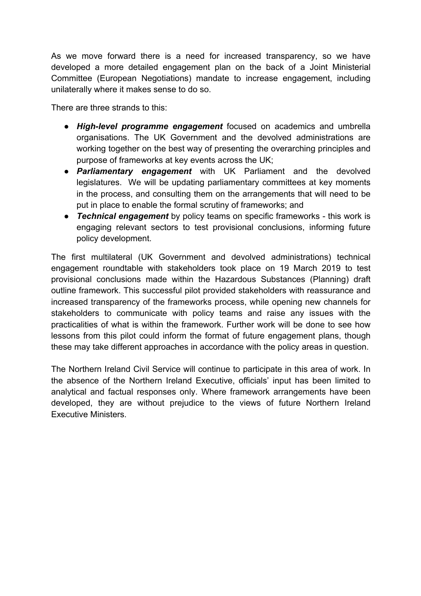As we move forward there is a need for increased transparency, so we have developed a more detailed engagement plan on the back of a Joint Ministerial Committee (European Negotiations) mandate to increase engagement, including unilaterally where it makes sense to do so.

There are three strands to this:

- *High-level programme engagement* focused on academics and umbrella organisations. The UK Government and the devolved administrations are working together on the best way of presenting the overarching principles and purpose of frameworks at key events across the UK;
- *Parliamentary engagement* with UK Parliament and the devolved legislatures. We will be updating parliamentary committees at key moments in the process, and consulting them on the arrangements that will need to be put in place to enable the formal scrutiny of frameworks; and
- *Technical engagement* by policy teams on specific frameworks this work is engaging relevant sectors to test provisional conclusions, informing future policy development.

The first multilateral (UK Government and devolved administrations) technical engagement roundtable with stakeholders took place on 19 March 2019 to test provisional conclusions made within the Hazardous Substances (Planning) draft outline framework. This successful pilot provided stakeholders with reassurance and increased transparency of the frameworks process, while opening new channels for stakeholders to communicate with policy teams and raise any issues with the practicalities of what is within the framework. Further work will be done to see how lessons from this pilot could inform the format of future engagement plans, though these may take different approaches in accordance with the policy areas in question.

The Northern Ireland Civil Service will continue to participate in this area of work. In the absence of the Northern Ireland Executive, officials' input has been limited to analytical and factual responses only. Where framework arrangements have been developed, they are without prejudice to the views of future Northern Ireland Executive Ministers.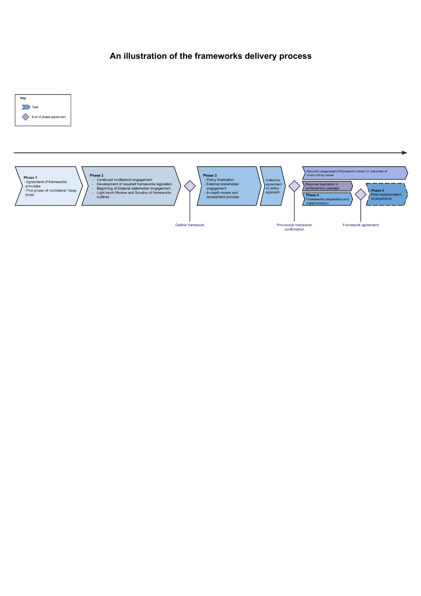# **An illustration of the frameworks delivery process**



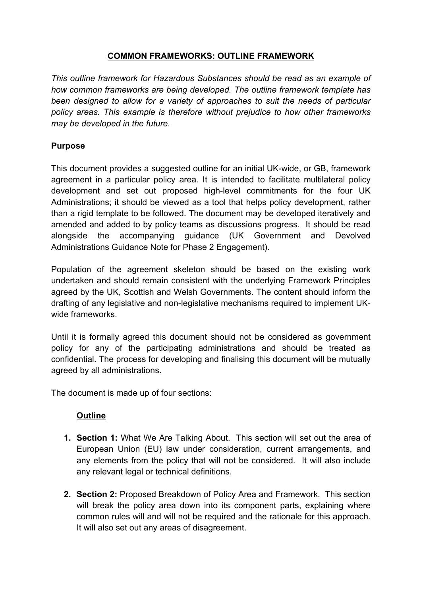# **COMMON FRAMEWORKS: OUTLINE FRAMEWORK**

*This outline framework for Hazardous Substances should be read as an example of how common frameworks are being developed. The outline framework template has been designed to allow for a variety of approaches to suit the needs of particular policy areas. This example is therefore without prejudice to how other frameworks may be developed in the future.*

# **Purpose**

This document provides a suggested outline for an initial UK-wide, or GB, framework agreement in a particular policy area. It is intended to facilitate multilateral policy development and set out proposed high-level commitments for the four UK Administrations; it should be viewed as a tool that helps policy development, rather than a rigid template to be followed. The document may be developed iteratively and amended and added to by policy teams as discussions progress. It should be read alongside the accompanying guidance (UK Government and Devolved Administrations Guidance Note for Phase 2 Engagement).

Population of the agreement skeleton should be based on the existing work undertaken and should remain consistent with the underlying Framework Principles agreed by the UK, Scottish and Welsh Governments. The content should inform the drafting of any legislative and non-legislative mechanisms required to implement UKwide frameworks.

Until it is formally agreed this document should not be considered as government policy for any of the participating administrations and should be treated as confidential. The process for developing and finalising this document will be mutually agreed by all administrations.

The document is made up of four sections:

# **Outline**

- **1. Section 1:** What We Are Talking About. This section will set out the area of European Union (EU) law under consideration, current arrangements, and any elements from the policy that will not be considered. It will also include any relevant legal or technical definitions.
- **2. Section 2:** Proposed Breakdown of Policy Area and Framework. This section will break the policy area down into its component parts, explaining where common rules will and will not be required and the rationale for this approach. It will also set out any areas of disagreement.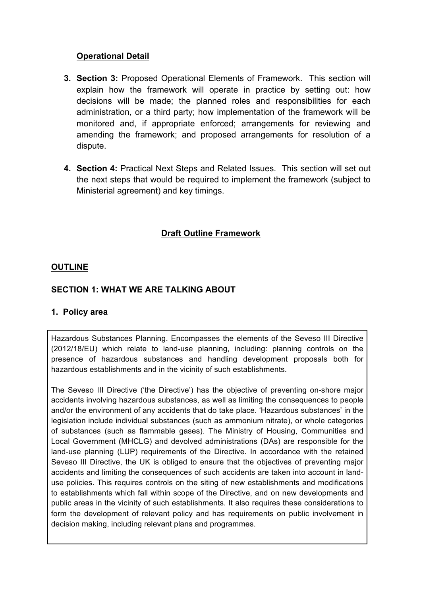# **Operational Detail**

- **3. Section 3:** Proposed Operational Elements of Framework. This section will explain how the framework will operate in practice by setting out: how decisions will be made; the planned roles and responsibilities for each administration, or a third party; how implementation of the framework will be monitored and, if appropriate enforced; arrangements for reviewing and amending the framework; and proposed arrangements for resolution of a dispute.
- **4. Section 4:** Practical Next Steps and Related Issues. This section will set out the next steps that would be required to implement the framework (subject to Ministerial agreement) and key timings.

# **Draft Outline Framework**

# **OUTLINE**

# **SECTION 1: WHAT WE ARE TALKING ABOUT**

## **1. Policy area**

Hazardous Substances Planning. Encompasses the elements of the Seveso III Directive (2012/18/EU) which relate to land-use planning, including: planning controls on the presence of hazardous substances and handling development proposals both for hazardous establishments and in the vicinity of such establishments.

The Seveso III Directive ('the Directive') has the objective of preventing on-shore major accidents involving hazardous substances, as well as limiting the consequences to people and/or the environment of any accidents that do take place. 'Hazardous substances' in the legislation include individual substances (such as ammonium nitrate), or whole categories of substances (such as flammable gases). The Ministry of Housing, Communities and Local Government (MHCLG) and devolved administrations (DAs) are responsible for the land-use planning (LUP) requirements of the Directive. In accordance with the retained Seveso III Directive, the UK is obliged to ensure that the objectives of preventing major accidents and limiting the consequences of such accidents are taken into account in landuse policies. This requires controls on the siting of new establishments and modifications to establishments which fall within scope of the Directive, and on new developments and public areas in the vicinity of such establishments. It also requires these considerations to form the development of relevant policy and has requirements on public involvement in decision making, including relevant plans and programmes.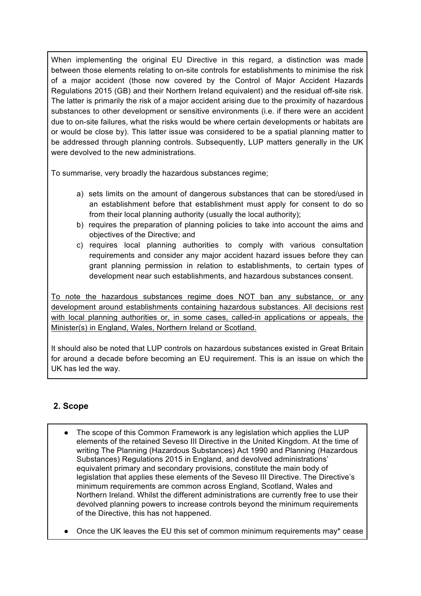When implementing the original EU Directive in this regard, a distinction was made between those elements relating to on-site controls for establishments to minimise the risk of a major accident (those now covered by the Control of Major Accident Hazards Regulations 2015 (GB) and their Northern Ireland equivalent) and the residual off-site risk. The latter is primarily the risk of a major accident arising due to the proximity of hazardous substances to other development or sensitive environments (i.e. if there were an accident due to on-site failures, what the risks would be where certain developments or habitats are or would be close by). This latter issue was considered to be a spatial planning matter to be addressed through planning controls. Subsequently, LUP matters generally in the UK were devolved to the new administrations.

To summarise, very broadly the hazardous substances regime;

- a) sets limits on the amount of dangerous substances that can be stored/used in an establishment before that establishment must apply for consent to do so from their local planning authority (usually the local authority);
- b) requires the preparation of planning policies to take into account the aims and objectives of the Directive; and
- c) requires local planning authorities to comply with various consultation requirements and consider any major accident hazard issues before they can grant planning permission in relation to establishments, to certain types of development near such establishments, and hazardous substances consent.

To note the hazardous substances regime does NOT ban any substance, or any development around establishments containing hazardous substances. All decisions rest with local planning authorities or, in some cases, called-in applications or appeals, the Minister(s) in England, Wales, Northern Ireland or Scotland.

It should also be noted that LUP controls on hazardous substances existed in Great Britain for around a decade before becoming an EU requirement. This is an issue on which the UK has led the way.

# **2. Scope**

- The scope of this Common Framework is any legislation which applies the LUP elements of the retained Seveso III Directive in the United Kingdom. At the time of writing The Planning (Hazardous Substances) Act 1990 and Planning (Hazardous Substances) Regulations 2015 in England, and devolved administrations' equivalent primary and secondary provisions, constitute the main body of legislation that applies these elements of the Seveso III Directive. The Directive's minimum requirements are common across England, Scotland, Wales and Northern Ireland. Whilst the different administrations are currently free to use their devolved planning powers to increase controls beyond the minimum requirements of the Directive, this has not happened.
- Once the UK leaves the EU this set of common minimum requirements may\* cease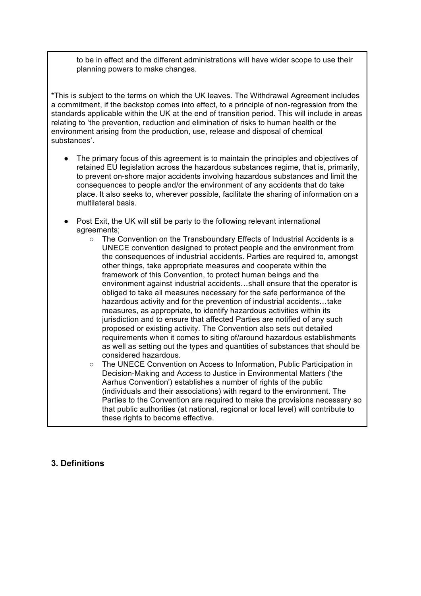to be in effect and the different administrations will have wider scope to use their planning powers to make changes.

\*This is subject to the terms on which the UK leaves. The Withdrawal Agreement includes a commitment, if the backstop comes into effect, to a principle of non-regression from the standards applicable within the UK at the end of transition period. This will include in areas relating to 'the prevention, reduction and elimination of risks to human health or the environment arising from the production, use, release and disposal of chemical substances'.

- The primary focus of this agreement is to maintain the principles and objectives of retained EU legislation across the hazardous substances regime, that is, primarily, to prevent on-shore major accidents involving hazardous substances and limit the consequences to people and/or the environment of any accidents that do take place. It also seeks to, wherever possible, facilitate the sharing of information on a multilateral basis.
- Post Exit, the UK will still be party to the following relevant international agreements;
	- The Convention on the Transboundary Effects of Industrial Accidents is a UNECE convention designed to protect people and the environment from the consequences of industrial accidents. Parties are required to, amongst other things, take appropriate measures and cooperate within the framework of this Convention, to protect human beings and the environment against industrial accidents…shall ensure that the operator is obliged to take all measures necessary for the safe performance of the hazardous activity and for the prevention of industrial accidents…take measures, as appropriate, to identify hazardous activities within its jurisdiction and to ensure that affected Parties are notified of any such proposed or existing activity. The Convention also sets out detailed requirements when it comes to siting of/around hazardous establishments as well as setting out the types and quantities of substances that should be considered hazardous.
	- The UNECE Convention on Access to Information, Public Participation in Decision-Making and Access to Justice in Environmental Matters ('the Aarhus Convention') establishes a number of rights of the public (individuals and their associations) with regard to the environment. The Parties to the Convention are required to make the provisions necessary so that public authorities (at national, regional or local level) will contribute to these rights to become effective.

## **3. Definitions**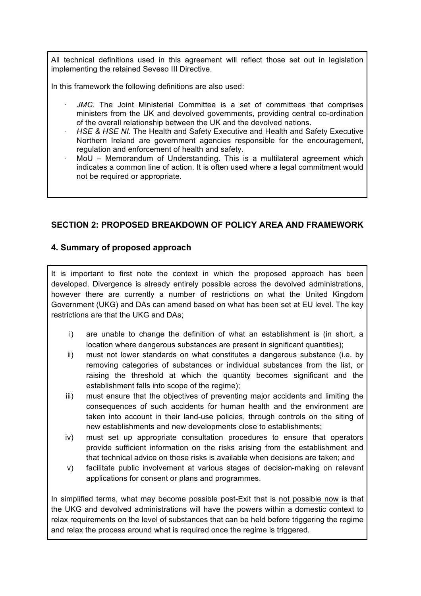All technical definitions used in this agreement will reflect those set out in legislation implementing the retained Seveso III Directive.

In this framework the following definitions are also used:

- JMC. The Joint Ministerial Committee is a set of committees that comprises ministers from the UK and devolved governments, providing central co-ordination of the overall relationship between the UK and the devolved nations.
- **HSE & HSE NI. The Health and Safety Executive and Health and Safety Executive** Northern Ireland are government agencies responsible for the encouragement, regulation and enforcement of health and safety.
- MoU Memorandum of Understanding. This is a multilateral agreement which indicates a common line of action. It is often used where a legal commitment would not be required or appropriate.

# **SECTION 2: PROPOSED BREAKDOWN OF POLICY AREA AND FRAMEWORK**

## **4. Summary of proposed approach**

It is important to first note the context in which the proposed approach has been developed. Divergence is already entirely possible across the devolved administrations, however there are currently a number of restrictions on what the United Kingdom Government (UKG) and DAs can amend based on what has been set at EU level. The key restrictions are that the UKG and DAs;

- i) are unable to change the definition of what an establishment is (in short, a location where dangerous substances are present in significant quantities);
- ii) must not lower standards on what constitutes a dangerous substance (i.e. by removing categories of substances or individual substances from the list, or raising the threshold at which the quantity becomes significant and the establishment falls into scope of the regime);
- iii) must ensure that the objectives of preventing major accidents and limiting the consequences of such accidents for human health and the environment are taken into account in their land-use policies, through controls on the siting of new establishments and new developments close to establishments;
- iv) must set up appropriate consultation procedures to ensure that operators provide sufficient information on the risks arising from the establishment and that technical advice on those risks is available when decisions are taken; and
- v) facilitate public involvement at various stages of decision-making on relevant applications for consent or plans and programmes.

In simplified terms, what may become possible post-Exit that is not possible now is that the UKG and devolved administrations will have the powers within a domestic context to relax requirements on the level of substances that can be held before triggering the regime and relax the process around what is required once the regime is triggered.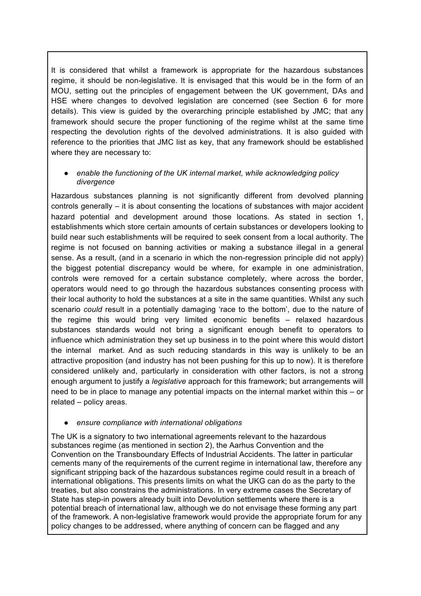It is considered that whilst a framework is appropriate for the hazardous substances regime, it should be non-legislative. It is envisaged that this would be in the form of an MOU, setting out the principles of engagement between the UK government, DAs and HSE where changes to devolved legislation are concerned (see Section 6 for more details). This view is guided by the overarching principle established by JMC; that any framework should secure the proper functioning of the regime whilst at the same time respecting the devolution rights of the devolved administrations. It is also guided with reference to the priorities that JMC list as key, that any framework should be established where they are necessary to:

#### enable the functioning of the UK internal market, while acknowledging policy *divergence*

Hazardous substances planning is not significantly different from devolved planning controls generally – it is about consenting the locations of substances with major accident hazard potential and development around those locations. As stated in section 1, establishments which store certain amounts of certain substances or developers looking to build near such establishments will be required to seek consent from a local authority. The regime is not focused on banning activities or making a substance illegal in a general sense. As a result, (and in a scenario in which the non-regression principle did not apply) the biggest potential discrepancy would be where, for example in one administration, controls were removed for a certain substance completely, where across the border, operators would need to go through the hazardous substances consenting process with their local authority to hold the substances at a site in the same quantities. Whilst any such scenario *could* result in a potentially damaging 'race to the bottom', due to the nature of the regime this would bring very limited economic benefits – relaxed hazardous substances standards would not bring a significant enough benefit to operators to influence which administration they set up business in to the point where this would distort the internal market. And as such reducing standards in this way is unlikely to be an attractive proposition (and industry has not been pushing for this up to now). It is therefore considered unlikely and, particularly in consideration with other factors, is not a strong enough argument to justify a *legislative* approach for this framework; but arrangements will need to be in place to manage any potential impacts on the internal market within this – or related – policy areas.

#### ● *ensure compliance with international obligations*

The UK is a signatory to two international agreements relevant to the hazardous substances regime (as mentioned in section 2), the Aarhus Convention and the Convention on the Transboundary Effects of Industrial Accidents. The latter in particular cements many of the requirements of the current regime in international law, therefore any significant stripping back of the hazardous substances regime could result in a breach of international obligations. This presents limits on what the UKG can do as the party to the treaties, but also constrains the administrations. In very extreme cases the Secretary of State has step-in powers already built into Devolution settlements where there is a potential breach of international law, although we do not envisage these forming any part of the framework. A non-legislative framework would provide the appropriate forum for any policy changes to be addressed, where anything of concern can be flagged and any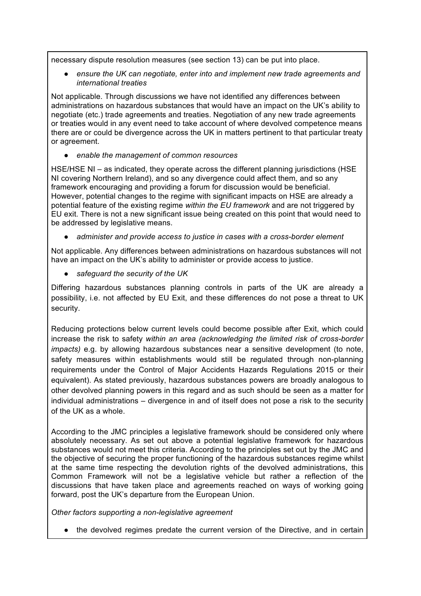necessary dispute resolution measures (see section 13) can be put into place.

ensure the UK can negotiate, enter into and implement new trade agreements and *international treaties*

Not applicable. Through discussions we have not identified any differences between administrations on hazardous substances that would have an impact on the UK's ability to negotiate (etc.) trade agreements and treaties. Negotiation of any new trade agreements or treaties would in any event need to take account of where devolved competence means there are or could be divergence across the UK in matters pertinent to that particular treaty or agreement.

● *enable the management of common resources*

HSE/HSE NI – as indicated, they operate across the different planning jurisdictions (HSE NI covering Northern Ireland), and so any divergence could affect them, and so any framework encouraging and providing a forum for discussion would be beneficial. However, potential changes to the regime with significant impacts on HSE are already a potential feature of the existing regime *within the EU framework* and are not triggered by EU exit. There is not a new significant issue being created on this point that would need to be addressed by legislative means.

administer and provide access to justice in cases with a cross-border element

Not applicable. Any differences between administrations on hazardous substances will not have an impact on the UK's ability to administer or provide access to justice.

● *safeguard the security of the UK*

Differing hazardous substances planning controls in parts of the UK are already a possibility, i.e. not affected by EU Exit, and these differences do not pose a threat to UK security.

Reducing protections below current levels could become possible after Exit, which could increase the risk to safety *within an area (acknowledging the limited risk of cross-border impacts)* e.g. by allowing hazardous substances near a sensitive development (to note, safety measures within establishments would still be regulated through non-planning requirements under the Control of Major Accidents Hazards Regulations 2015 or their equivalent). As stated previously, hazardous substances powers are broadly analogous to other devolved planning powers in this regard and as such should be seen as a matter for individual administrations – divergence in and of itself does not pose a risk to the security of the UK as a whole.

According to the JMC principles a legislative framework should be considered only where absolutely necessary. As set out above a potential legislative framework for hazardous substances would not meet this criteria. According to the principles set out by the JMC and the objective of securing the proper functioning of the hazardous substances regime whilst at the same time respecting the devolution rights of the devolved administrations, this Common Framework will not be a legislative vehicle but rather a reflection of the discussions that have taken place and agreements reached on ways of working going forward, post the UK's departure from the European Union.

*Other factors supporting a non-legislative agreement*

● the devolved regimes predate the current version of the Directive, and in certain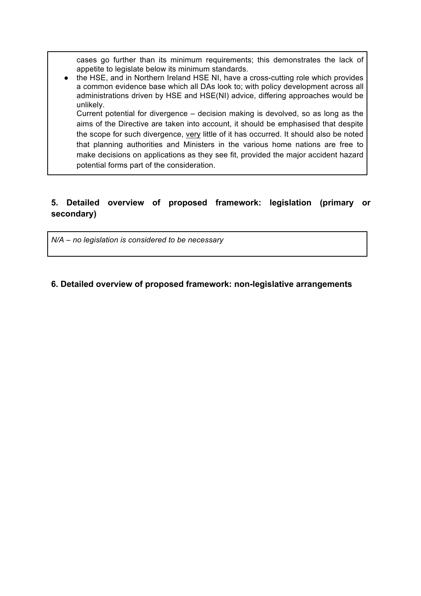cases go further than its minimum requirements; this demonstrates the lack of appetite to legislate below its minimum standards.

● the HSE, and in Northern Ireland HSE NI, have a cross-cutting role which provides a common evidence base which all DAs look to; with policy development across all administrations driven by HSE and HSE(NI) advice, differing approaches would be unlikely.

Current potential for divergence – decision making is devolved, so as long as the aims of the Directive are taken into account, it should be emphasised that despite the scope for such divergence, very little of it has occurred. It should also be noted that planning authorities and Ministers in the various home nations are free to make decisions on applications as they see fit, provided the major accident hazard potential forms part of the consideration.

# **5. Detailed overview of proposed framework: legislation (primary or secondary)**

*N/A – no legislation is considered to be necessary*

# **6. Detailed overview of proposed framework: non-legislative arrangements**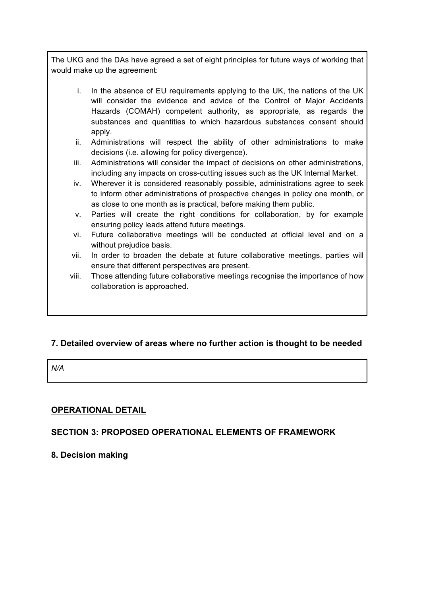The UKG and the DAs have agreed a set of eight principles for future ways of working that would make up the agreement:

- i. In the absence of EU requirements applying to the UK, the nations of the UK will consider the evidence and advice of the Control of Major Accidents Hazards (COMAH) competent authority, as appropriate, as regards the substances and quantities to which hazardous substances consent should apply.
- ii. Administrations will respect the ability of other administrations to make decisions (i.e. allowing for policy divergence).
- iii. Administrations will consider the impact of decisions on other administrations, including any impacts on cross-cutting issues such as the UK Internal Market.
- iv. Wherever it is considered reasonably possible, administrations agree to seek to inform other administrations of prospective changes in policy one month, or as close to one month as is practical, before making them public.
- v. Parties will create the right conditions for collaboration, by for example ensuring policy leads attend future meetings.
- vi. Future collaborative meetings will be conducted at official level and on a without prejudice basis.
- vii. In order to broaden the debate at future collaborative meetings, parties will ensure that different perspectives are present.
- viii. Those attending future collaborative meetings recognise the importance of h*ow*  collaboration is approached.

# **7. Detailed overview of areas where no further action is thought to be needed**

*N/A* 

# **OPERATIONAL DETAIL**

# **SECTION 3: PROPOSED OPERATIONAL ELEMENTS OF FRAMEWORK**

# **8. Decision making**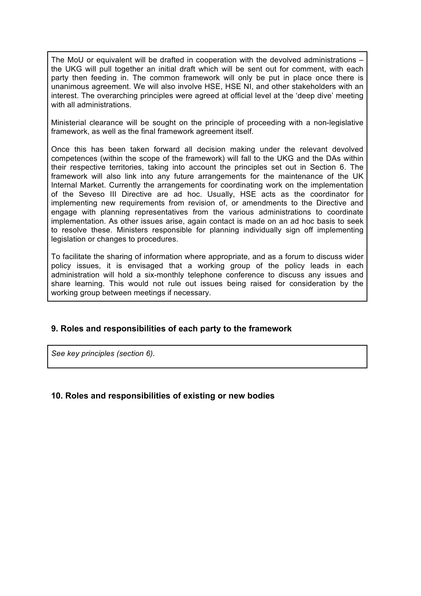The MoU or equivalent will be drafted in cooperation with the devolved administrations the UKG will pull together an initial draft which will be sent out for comment, with each party then feeding in. The common framework will only be put in place once there is unanimous agreement. We will also involve HSE, HSE NI, and other stakeholders with an interest. The overarching principles were agreed at official level at the 'deep dive' meeting with all administrations.

Ministerial clearance will be sought on the principle of proceeding with a non-legislative framework, as well as the final framework agreement itself.

Once this has been taken forward all decision making under the relevant devolved competences (within the scope of the framework) will fall to the UKG and the DAs within their respective territories, taking into account the principles set out in Section 6. The framework will also link into any future arrangements for the maintenance of the UK Internal Market. Currently the arrangements for coordinating work on the implementation of the Seveso III Directive are ad hoc. Usually, HSE acts as the coordinator for implementing new requirements from revision of, or amendments to the Directive and engage with planning representatives from the various administrations to coordinate implementation. As other issues arise, again contact is made on an ad hoc basis to seek to resolve these. Ministers responsible for planning individually sign off implementing legislation or changes to procedures.

To facilitate the sharing of information where appropriate, and as a forum to discuss wider policy issues, it is envisaged that a working group of the policy leads in each administration will hold a six-monthly telephone conference to discuss any issues and share learning. This would not rule out issues being raised for consideration by the working group between meetings if necessary.

## **9. Roles and responsibilities of each party to the framework**

*See key principles (section 6).*

## **10. Roles and responsibilities of existing or new bodies**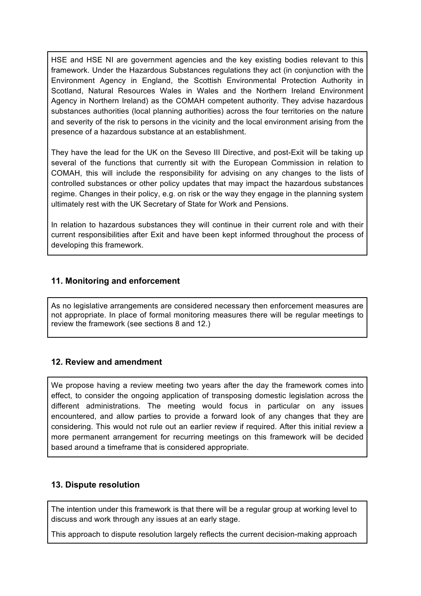HSE and HSE NI are government agencies and the key existing bodies relevant to this framework. Under the Hazardous Substances regulations they act (in conjunction with the Environment Agency in England, the Scottish Environmental Protection Authority in Scotland, Natural Resources Wales in Wales and the Northern Ireland Environment Agency in Northern Ireland) as the COMAH competent authority. They advise hazardous substances authorities (local planning authorities) across the four territories on the nature and severity of the risk to persons in the vicinity and the local environment arising from the presence of a hazardous substance at an establishment.

They have the lead for the UK on the Seveso III Directive, and post-Exit will be taking up several of the functions that currently sit with the European Commission in relation to COMAH, this will include the responsibility for advising on any changes to the lists of controlled substances or other policy updates that may impact the hazardous substances regime. Changes in their policy, e.g. on risk or the way they engage in the planning system ultimately rest with the UK Secretary of State for Work and Pensions.

In relation to hazardous substances they will continue in their current role and with their current responsibilities after Exit and have been kept informed throughout the process of developing this framework.

## **11. Monitoring and enforcement**

As no legislative arrangements are considered necessary then enforcement measures are not appropriate. In place of formal monitoring measures there will be regular meetings to review the framework (see sections 8 and 12.)

## **12. Review and amendment**

We propose having a review meeting two years after the day the framework comes into effect, to consider the ongoing application of transposing domestic legislation across the different administrations. The meeting would focus in particular on any issues encountered, and allow parties to provide a forward look of any changes that they are considering. This would not rule out an earlier review if required. After this initial review a more permanent arrangement for recurring meetings on this framework will be decided based around a timeframe that is considered appropriate.

## **13. Dispute resolution**

The intention under this framework is that there will be a regular group at working level to discuss and work through any issues at an early stage.

This approach to dispute resolution largely reflects the current decision-making approach